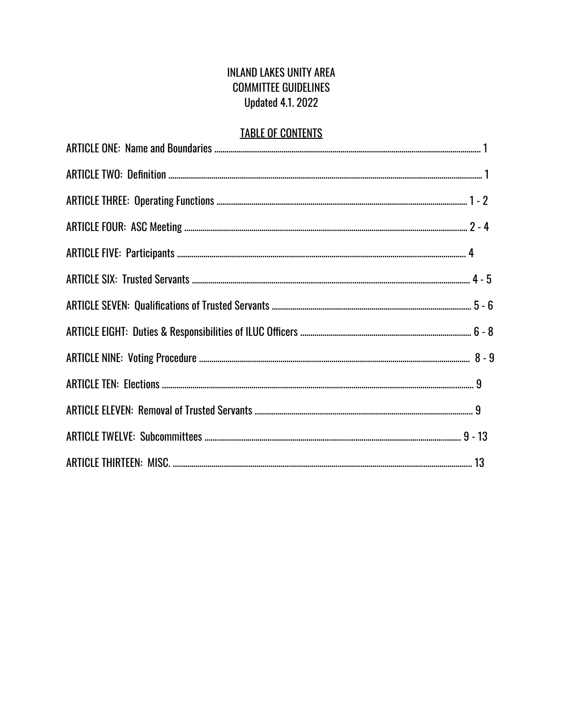### INLAND LAKES UNITY AREA COMMITTEE GUIDELINES Updated 4.1. 2022

# TABLE OF CONTENTS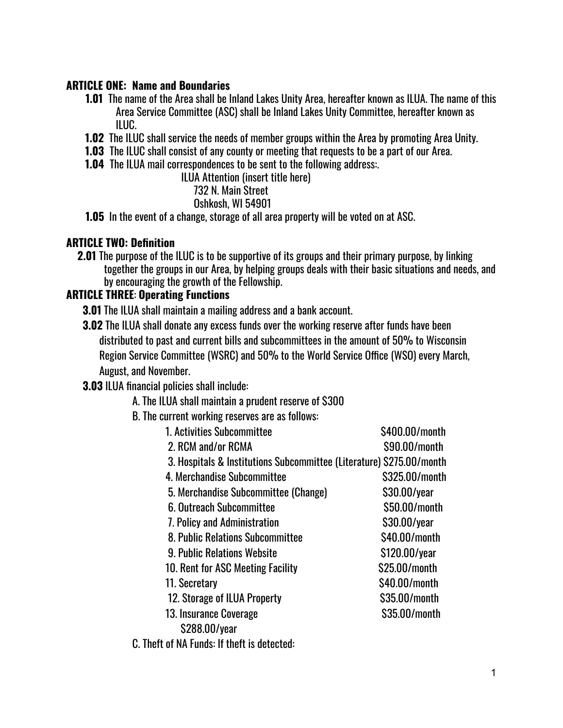#### **ARTICLE ONE: Name and Boundaries**

- **1.01** The name of the Area shall be Inland Lakes Unity Area, hereafter known as ILUA. The name of this Area Service Committee (ASC) shall be Inland Lakes Unity Committee, hereafter known as ILUC.
- **1.02** The ILUC shall service the needs of member groups within the Area by promoting Area Unity.
- **1.03** The ILUC shall consist of any county or meeting that requests to be a part of our Area.
- **1.04** The ILUA mail correspondences to be sent to the following address:.

ILUA Attention (insert title here)

#### 732 N. Main Street

Oshkosh, WI 54901

**1.05** In the event of a change, storage of all area property will be voted on at ASC.

#### **ARTICLE TWO: Definition**

**2.01** The purpose of the ILUC is to be supportive of its groups and their primary purpose, by linking together the groups in our Area, by helping groups deals with their basic situations and needs, and by encouraging the growth of the Fellowship.

### **ARTICLE THREE**: **Operating Functions**

**3.01** The ILUA shall maintain a mailing address and a bank account.

**3.02** The ILUA shall donate any excess funds over the working reserve after funds have been distributed to past and current bills and subcommittees in the amount of 50% to Wisconsin Region Service Committee (WSRC) and 50% to the World Service Office (WSO) every March, August, and November.

**3.03** ILUA financial policies shall include:

A. The ILUA shall maintain a prudent reserve of \$300

B. The current working reserves are as follows:

| 1. Activities Subcommittee                                           | \$400.00/month |
|----------------------------------------------------------------------|----------------|
| 2. RCM and/or RCMA                                                   | \$90,00/month  |
| 3. Hospitals & Institutions Subcommittee (Literature) \$275.00/month |                |
| 4. Merchandise Subcommittee                                          | \$325.00/month |
| 5. Merchandise Subcommittee (Change)                                 | \$30.00/year   |
| 6. Outreach Subcommittee                                             | \$50.00/month  |
| 7. Policy and Administration                                         | \$30.00/year   |
| 8. Public Relations Subcommittee                                     | \$40,00/month  |
| <b>9. Public Relations Website</b>                                   | \$120.00/year  |
| 10. Rent for ASC Meeting Facility                                    | \$25.00/month  |
| 11. Secretary                                                        | \$40,00/month  |
| 12. Storage of ILUA Property                                         | \$35.00/month  |
| 13. Insurance Coverage                                               | \$35.00/month  |
| \$288.00/year                                                        |                |
|                                                                      |                |

C. Theft of NA Funds: If theft is detected: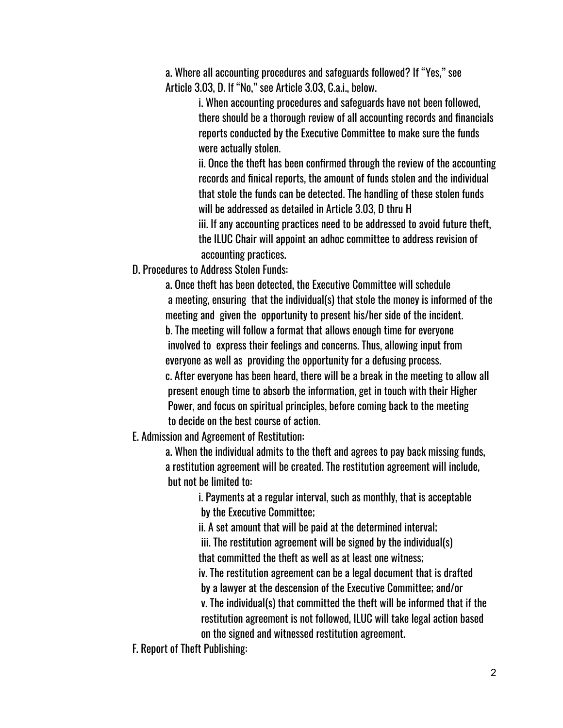a. Where all accounting procedures and safeguards followed? If "Yes," see Article 3.03, D. If "No," see Article 3.03, C.a.i., below.

> i. When accounting procedures and safeguards have not been followed, there should be a thorough review of all accounting records and financials reports conducted by the Executive Committee to make sure the funds were actually stolen.

ii. Once the theft has been confirmed through the review of the accounting records and finical reports, the amount of funds stolen and the individual that stole the funds can be detected. The handling of these stolen funds will be addressed as detailed in Article 3.03, D thru H

iii. If any accounting practices need to be addressed to avoid future theft, the ILUC Chair will appoint an adhoc committee to address revision of accounting practices.

D. Procedures to Address Stolen Funds:

a. Once theft has been detected, the Executive Committee will schedule a meeting, ensuring that the individual(s) that stole the money is informed of the meeting and given the opportunity to present his/her side of the incident. b. The meeting will follow a format that allows enough time for everyone involved to express their feelings and concerns. Thus, allowing input from everyone as well as providing the opportunity for a defusing process. c. After everyone has been heard, there will be a break in the meeting to allow all present enough time to absorb the information, get in touch with their Higher Power, and focus on spiritual principles, before coming back to the meeting to decide on the best course of action.

E. Admission and Agreement of Restitution:

a. When the individual admits to the theft and agrees to pay back missing funds, a restitution agreement will be created. The restitution agreement will include, but not be limited to:

> i. Payments at a regular interval, such as monthly, that is acceptable by the Executive Committee;

ii. A set amount that will be paid at the determined interval;

iii. The restitution agreement will be signed by the individual(s) that committed the theft as well as at least one witness;

iv. The restitution agreement can be a legal document that is drafted by a lawyer at the descension of the Executive Committee; and/or

v. The individual(s) that committed the theft will be informed that if the restitution agreement is not followed, ILUC will take legal action based on the signed and witnessed restitution agreement.

F. Report of Theft Publishing: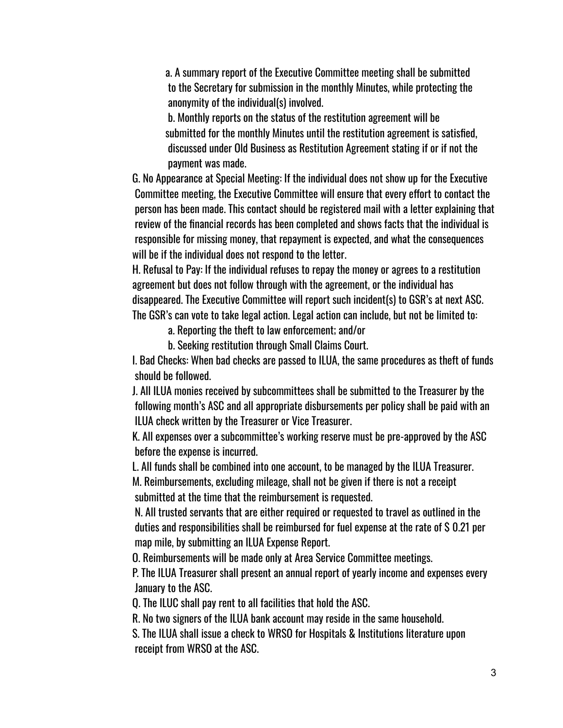a. A summary report of the Executive Committee meeting shall be submitted to the Secretary for submission in the monthly Minutes, while protecting the anonymity of the individual(s) involved.

b. Monthly reports on the status of the restitution agreement will be submitted for the monthly Minutes until the restitution agreement is satisfied, discussed under Old Business as Restitution Agreement stating if or if not the payment was made.

G. No Appearance at Special Meeting: If the individual does not show up for the Executive Committee meeting, the Executive Committee will ensure that every effort to contact the person has been made. This contact should be registered mail with a letter explaining that review of the financial records has been completed and shows facts that the individual is responsible for missing money, that repayment is expected, and what the consequences will be if the individual does not respond to the letter.

H. Refusal to Pay: If the individual refuses to repay the money or agrees to a restitution agreement but does not follow through with the agreement, or the individual has disappeared. The Executive Committee will report such incident(s) to GSR's at next ASC. The GSR's can vote to take legal action. Legal action can include, but not be limited to:

a. Reporting the theft to law enforcement; and/or

b. Seeking restitution through Small Claims Court.

I. Bad Checks: When bad checks are passed to ILUA, the same procedures as theft of funds should be followed.

J. All ILUA monies received by subcommittees shall be submitted to the Treasurer by the following month's ASC and all appropriate disbursements per policy shall be paid with an ILUA check written by the Treasurer or Vice Treasurer.

K. All expenses over a subcommittee's working reserve must be pre-approved by the ASC before the expense is incurred.

L. All funds shall be combined into one account, to be managed by the ILUA Treasurer.

M. Reimbursements, excluding mileage, shall not be given if there is not a receipt submitted at the time that the reimbursement is requested.

N. All trusted servants that are either required or requested to travel as outlined in the duties and responsibilities shall be reimbursed for fuel expense at the rate of \$ 0.21 per map mile, by submitting an ILUA Expense Report.

O. Reimbursements will be made only at Area Service Committee meetings.

P. The ILUA Treasurer shall present an annual report of yearly income and expenses every January to the ASC.

Q. The ILUC shall pay rent to all facilities that hold the ASC.

R. No two signers of the ILUA bank account may reside in the same household.

S. The ILUA shall issue a check to WRSO for Hospitals & Institutions literature upon receipt from WRSO at the ASC.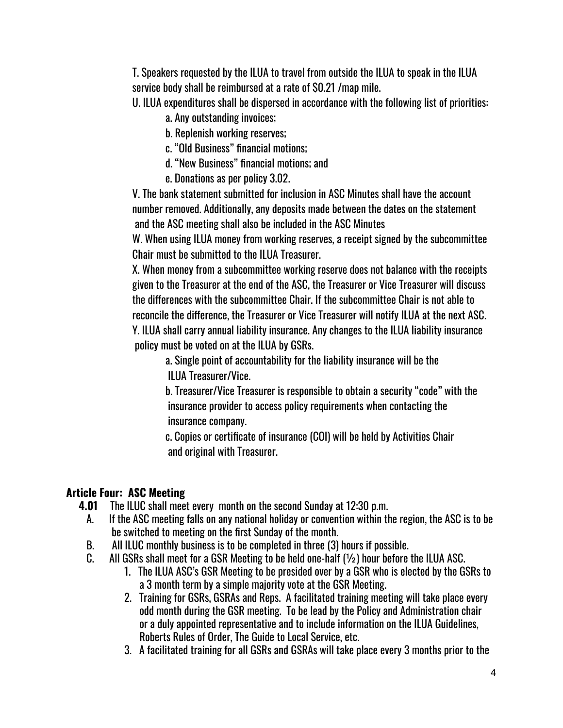T. Speakers requested by the ILUA to travel from outside the ILUA to speak in the ILUA service body shall be reimbursed at a rate of \$0.21 /map mile.

U. ILUA expenditures shall be dispersed in accordance with the following list of priorities:

a. Any outstanding invoices;

b. Replenish working reserves;

c. "Old Business" financial motions;

d. "New Business" financial motions; and

e. Donations as per policy 3.02.

V. The bank statement submitted for inclusion in ASC Minutes shall have the account number removed. Additionally, any deposits made between the dates on the statement and the ASC meeting shall also be included in the ASC Minutes

W. When using ILUA money from working reserves, a receipt signed by the subcommittee Chair must be submitted to the ILUA Treasurer.

X. When money from a subcommittee working reserve does not balance with the receipts given to the Treasurer at the end of the ASC, the Treasurer or Vice Treasurer will discuss the differences with the subcommittee Chair. If the subcommittee Chair is not able to reconcile the difference, the Treasurer or Vice Treasurer will notify ILUA at the next ASC. Y. ILUA shall carry annual liability insurance. Any changes to the ILUA liability insurance policy must be voted on at the ILUA by GSRs.

a. Single point of accountability for the liability insurance will be the ILUA Treasurer/Vice.

b. Treasurer/Vice Treasurer is responsible to obtain a security "code" with the insurance provider to access policy requirements when contacting the insurance company.

c. Copies or certificate of insurance (COI) will be held by Activities Chair and original with Treasurer.

### **Article Four: ASC Meeting**

- **4.01** The ILUC shall meet every month on the second Sunday at 12:30 p.m.
	- A. If the ASC meeting falls on any national holiday or convention within the region, the ASC is to be be switched to meeting on the first Sunday of the month.
	- B. All ILUC monthly business is to be completed in three (3) hours if possible.
	- C. All GSRs shall meet for a GSR Meeting to be held one-half (½) hour before the ILUA ASC.
		- 1. The ILUA ASC's GSR Meeting to be presided over by a GSR who is elected by the GSRs to a 3 month term by a simple majority vote at the GSR Meeting.
		- 2. Training for GSRs, GSRAs and Reps. A facilitated training meeting will take place every odd month during the GSR meeting. To be lead by the Policy and Administration chair or a duly appointed representative and to include information on the ILUA Guidelines, Roberts Rules of Order, The Guide to Local Service, etc.
		- 3. A facilitated training for all GSRs and GSRAs will take place every 3 months prior to the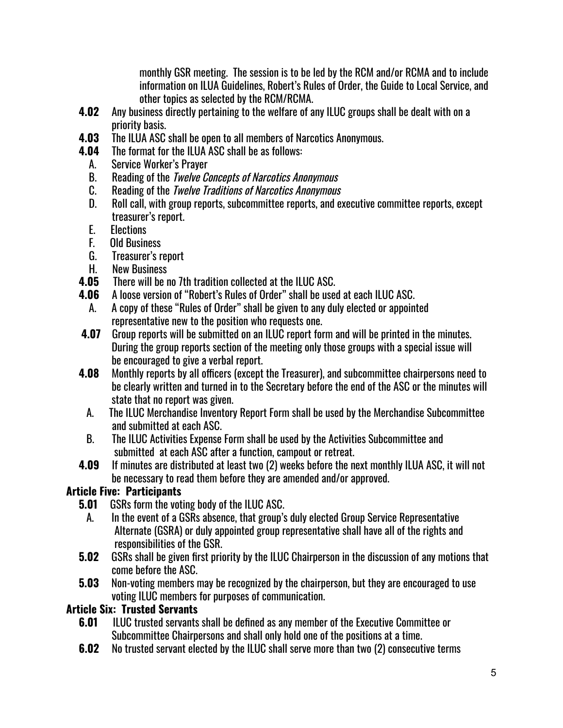monthly GSR meeting. The session is to be led by the RCM and/or RCMA and to include information on ILUA Guidelines, Robert's Rules of Order, the Guide to Local Service, and other topics as selected by the RCM/RCMA.

- **4.02** Any business directly pertaining to the welfare of any ILUC groups shall be dealt with on a priority basis.
- **4.03** The ILUA ASC shall be open to all members of Narcotics Anonymous.
- **4.04** The format for the ILUA ASC shall be as follows:
	- A. Service Worker's Prayer
	- B. Reading of the *Twelve Concepts of Narcotics Anonymous*
	- C. Reading of the *Twelve Traditions of Narcotics Anonymous*
	- D. Roll call, with group reports, subcommittee reports, and executive committee reports, except treasurer's report.
	- E. Elections
	- F. Old Business
	- G. Treasurer's report
	- H. New Business
- **4.05** There will be no 7th tradition collected at the ILUC ASC.
- **4.06** A loose version of "Robert's Rules of Order" shall be used at each ILUC ASC.
	- A. A copy of these "Rules of Order" shall be given to any duly elected or appointed representative new to the position who requests one.
- **4.07** Group reports will be submitted on an ILUC report form and will be printed in the minutes. During the group reports section of the meeting only those groups with a special issue will be encouraged to give a verbal report.
- **4.08** Monthly reports by all officers (except the Treasurer), and subcommittee chairpersons need to be clearly written and turned in to the Secretary before the end of the ASC or the minutes will state that no report was given.
	- A. The ILUC Merchandise Inventory Report Form shall be used by the Merchandise Subcommittee and submitted at each ASC.
	- B. The ILUC Activities Expense Form shall be used by the Activities Subcommittee and submitted at each ASC after a function, campout or retreat.
- **4.09** If minutes are distributed at least two (2) weeks before the next monthly ILUA ASC, it will not be necessary to read them before they are amended and/or approved.

## **Article Five: Participants**

- **5.01** GSRs form the voting body of the ILUC ASC.
	- A. In the event of a GSRs absence, that group's duly elected Group Service Representative Alternate (GSRA) or duly appointed group representative shall have all of the rights and responsibilities of the GSR.
- **5.02** GSRs shall be given first priority by the ILUC Chairperson in the discussion of any motions that come before the ASC.
- **5.03** Non-voting members may be recognized by the chairperson, but they are encouraged to use voting ILUC members for purposes of communication.

### **Article Six: Trusted Servants**

- **6.01** ILUC trusted servants shall be defined as any member of the Executive Committee or Subcommittee Chairpersons and shall only hold one of the positions at a time.
- **6.02** No trusted servant elected by the ILUC shall serve more than two (2) consecutive terms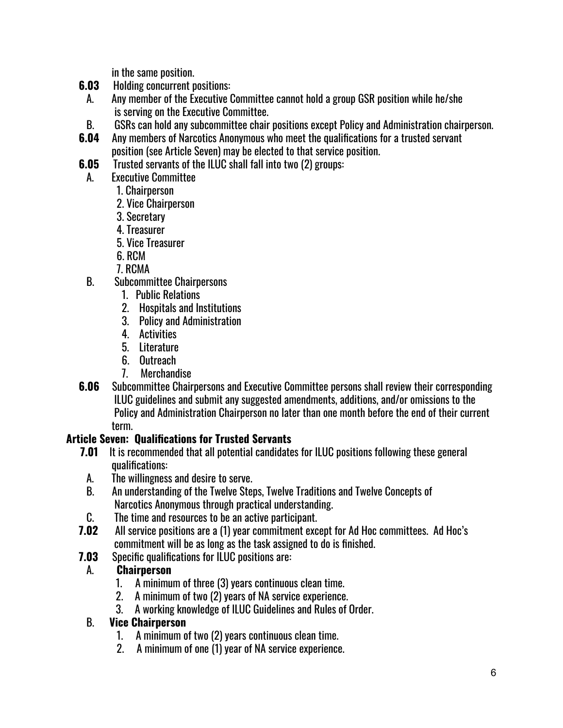in the same position.

- **6.03** Holding concurrent positions:
- A. Any member of the Executive Committee cannot hold a group GSR position while he/she is serving on the Executive Committee.
- B. GSRs can hold any subcommittee chair positions except Policy and Administration chairperson.
- **6.04** Any members of Narcotics Anonymous who meet the qualifications for a trusted servant position (see Article Seven) may be elected to that service position.
- **6.05** Trusted servants of the ILUC shall fall into two (2) groups:
- A. Executive Committee
	- 1. Chairperson
	- 2. Vice Chairperson
	- 3. Secretary
	- 4. Treasurer
	- 5. Vice Treasurer
	- 6. RCM
	- 7. RCMA
- B. Subcommittee Chairpersons
	- 1. Public Relations
	- 2. Hospitals and Institutions
	- 3. Policy and Administration
	- 4. Activities
	- 5. Literature
	- 6. Outreach
	- 7. Merchandise
- **6.06** Subcommittee Chairpersons and Executive Committee persons shall review their corresponding ILUC guidelines and submit any suggested amendments, additions, and/or omissions to the Policy and Administration Chairperson no later than one month before the end of their current term.

### **Article Seven: Qualifications for Trusted Servants**

- **7.01** It is recommended that all potential candidates for ILUC positions following these general qualifications:
	- A. The willingness and desire to serve.
- B. An understanding of the Twelve Steps, Twelve Traditions and Twelve Concepts of Narcotics Anonymous through practical understanding.
- C. The time and resources to be an active participant.
- **7.02** All service positions are a (1) year commitment except for Ad Hoc committees. Ad Hoc's commitment will be as long as the task assigned to do is finished.
- **7.03** Specific qualifications for ILUC positions are:

### A. **Chairperson**

- 1. A minimum of three (3) years continuous clean time.
- 2. A minimum of two (2) years of NA service experience.
- 3. A working knowledge of ILUC Guidelines and Rules of Order.

#### B. **Vice Chairperson**

- 1. A minimum of two (2) years continuous clean time.
- 2. A minimum of one (1) year of NA service experience.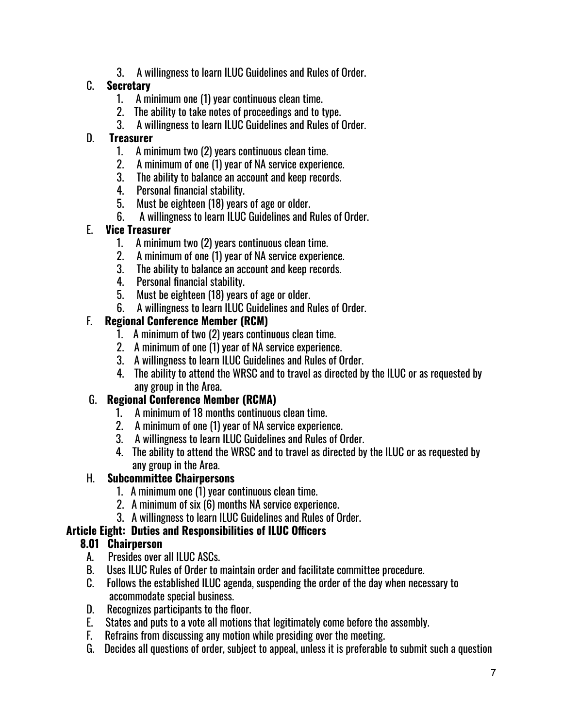3. A willingness to learn ILUC Guidelines and Rules of Order.

### C. **Secretary**

- 1. A minimum one (1) year continuous clean time.
- 2. The ability to take notes of proceedings and to type.
- 3. A willingness to learn ILUC Guidelines and Rules of Order.

#### D. **Treasurer**

- 1. A minimum two (2) years continuous clean time.
- 2. A minimum of one (1) year of NA service experience.
- 3. The ability to balance an account and keep records.
- 4. Personal financial stability.
- 5. Must be eighteen (18) years of age or older.
- 6. A willingness to learn ILUC Guidelines and Rules of Order.

### E. **Vice Treasurer**

- 1. A minimum two (2) years continuous clean time.
- 2. A minimum of one (1) year of NA service experience.
- 3. The ability to balance an account and keep records.
- 4. Personal financial stability.
- 5. Must be eighteen (18) years of age or older.
- 6. A willingness to learn ILUC Guidelines and Rules of Order.

### F. **Regional Conference Member (RCM)**

- 1. A minimum of two (2) years continuous clean time.
- 2. A minimum of one (1) year of NA service experience.
- 3. A willingness to learn ILUC Guidelines and Rules of Order.
- 4. The ability to attend the WRSC and to travel as directed by the ILUC or as requested by any group in the Area.

### G. **Regional Conference Member (RCMA)**

- 1. A minimum of 18 months continuous clean time.
- 2. A minimum of one (1) year of NA service experience.
- 3. A willingness to learn ILUC Guidelines and Rules of Order.
- 4. The ability to attend the WRSC and to travel as directed by the ILUC or as requested by any group in the Area.

### H. **Subcommittee Chairpersons**

- 1. A minimum one (1) year continuous clean time.
- 2. A minimum of six (6) months NA service experience.
- 3. A willingness to learn ILUC Guidelines and Rules of Order.

#### **Article Eight: Duties and Responsibilities of ILUC Officers**

### **8.01 Chairperson**

- A. Presides over all ILUC ASCs.
- B. Uses ILUC Rules of Order to maintain order and facilitate committee procedure.
- C. Follows the established ILUC agenda, suspending the order of the day when necessary to accommodate special business.
- D. Recognizes participants to the floor.
- E. States and puts to a vote all motions that legitimately come before the assembly.
- F. Refrains from discussing any motion while presiding over the meeting.
- G. Decides all questions of order, subject to appeal, unless it is preferable to submit such a question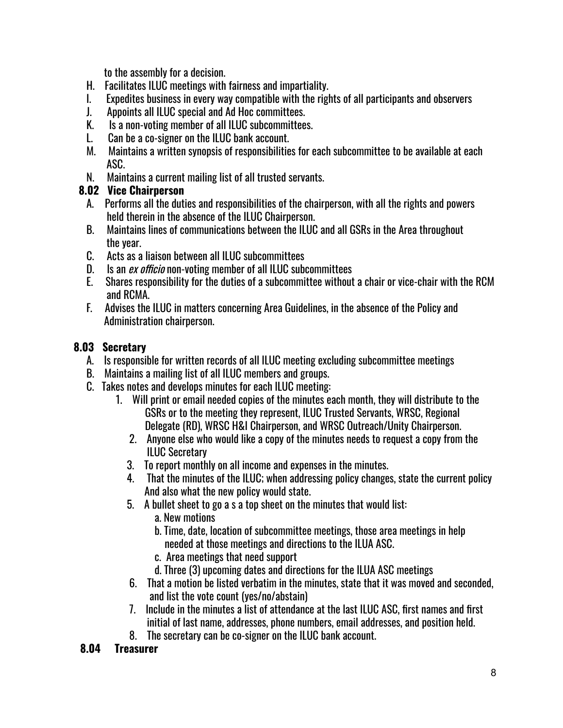to the assembly for a decision.

- H. Facilitates ILUC meetings with fairness and impartiality.
- I. Expedites business in every way compatible with the rights of all participants and observers
- J. Appoints all ILUC special and Ad Hoc committees.
- K. Is a non-voting member of all ILUC subcommittees.
- L. Can be a co-signer on the ILUC bank account.
- M. Maintains a written synopsis of responsibilities for each subcommittee to be available at each ASC.
- N. Maintains a current mailing list of all trusted servants.

## **8.02 Vice Chairperson**

- A. Performs all the duties and responsibilities of the chairperson, with all the rights and powers held therein in the absence of the ILUC Chairperson.
- B. Maintains lines of communications between the ILUC and all GSRs in the Area throughout the year.
- C. Acts as a liaison between all ILUC subcommittees
- D. Is an *ex officio* non-voting member of all ILUC subcommittees
- E. Shares responsibility for the duties of a subcommittee without a chair or vice-chair with the RCM and RCMA.
- F. Advises the ILUC in matters concerning Area Guidelines, in the absence of the Policy and Administration chairperson.

## **8.03 Secretary**

- A. Is responsible for written records of all ILUC meeting excluding subcommittee meetings
- B. Maintains a mailing list of all ILUC members and groups.
- C. Takes notes and develops minutes for each ILUC meeting:
	- 1. Will print or email needed copies of the minutes each month, they will distribute to the GSRs or to the meeting they represent, ILUC Trusted Servants, WRSC, Regional Delegate (RD), WRSC H&I Chairperson, and WRSC Outreach/Unity Chairperson.
		- 2. Anyone else who would like a copy of the minutes needs to request a copy from the ILUC Secretary
		- 3. To report monthly on all income and expenses in the minutes.
		- 4. That the minutes of the ILUC; when addressing policy changes, state the current policy And also what the new policy would state.
		- 5. A bullet sheet to go a s a top sheet on the minutes that would list:
			- a. New motions
			- b. Time, date, location of subcommittee meetings, those area meetings in help needed at those meetings and directions to the ILUA ASC.
			- c. Area meetings that need support
			- d. Three (3) upcoming dates and directions for the ILUA ASC meetings
		- 6. That a motion be listed verbatim in the minutes, state that it was moved and seconded, and list the vote count (yes/no/abstain)
		- 7. Include in the minutes a list of attendance at the last ILUC ASC, first names and first initial of last name, addresses, phone numbers, email addresses, and position held.
		- 8. The secretary can be co-signer on the ILUC bank account.

## **8.04 Treasurer**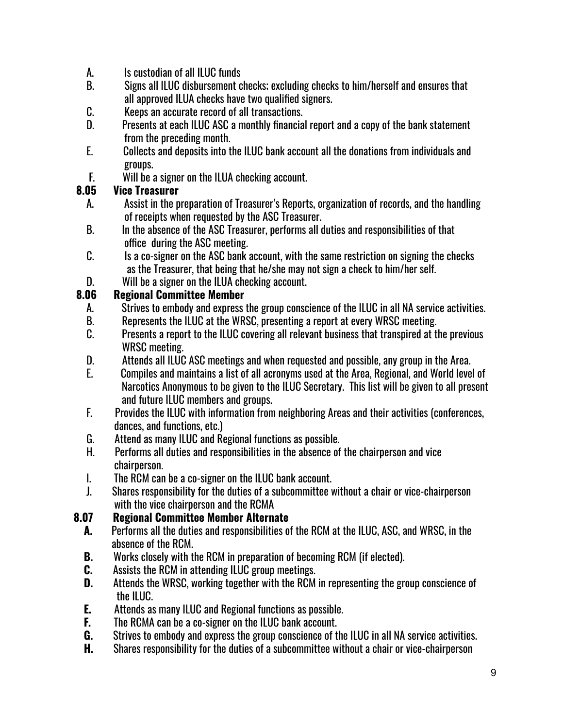- A. Is custodian of all ILUC funds
- B. Signs all ILUC disbursement checks; excluding checks to him/herself and ensures that all approved ILUA checks have two qualified signers.
- C. Keeps an accurate record of all transactions.
- D. Presents at each ILUC ASC a monthly financial report and a copy of the bank statement from the preceding month.
- E. Collects and deposits into the ILUC bank account all the donations from individuals and groups.
- F. Will be a signer on the ILUA checking account.

### **8.05 Vice Treasurer**

- A. Assist in the preparation of Treasurer's Reports, organization of records, and the handling of receipts when requested by the ASC Treasurer.
- B. In the absence of the ASC Treasurer, performs all duties and responsibilities of that office during the ASC meeting.
- C. Is a co-signer on the ASC bank account, with the same restriction on signing the checks as the Treasurer, that being that he/she may not sign a check to him/her self.
- D. Will be a signer on the ILUA checking account.

### **8.06 Regional Committee Member**

- A. Strives to embody and express the group conscience of the ILUC in all NA service activities.
- B. Represents the ILUC at the WRSC, presenting a report at every WRSC meeting.
- C. Presents a report to the ILUC covering all relevant business that transpired at the previous WRSC meeting.
- D. Attends all ILUC ASC meetings and when requested and possible, any group in the Area.
- E. Compiles and maintains a list of all acronyms used at the Area, Regional, and World level of Narcotics Anonymous to be given to the ILUC Secretary. This list will be given to all present and future ILUC members and groups.
- F. Provides the ILUC with information from neighboring Areas and their activities (conferences, dances, and functions, etc.)
- G. Attend as many ILUC and Regional functions as possible.
- H. Performs all duties and responsibilities in the absence of the chairperson and vice chairperson.
- I. The RCM can be a co-signer on the ILUC bank account.
- J. Shares responsibility for the duties of a subcommittee without a chair or vice-chairperson with the vice chairperson and the RCMA

## **8.07 Regional Committee Member Alternate**

- **A.** Performs all the duties and responsibilities of the RCM at the ILUC, ASC, and WRSC, in the absence of the RCM.
- **B.** Works closely with the RCM in preparation of becoming RCM (if elected).
- **C.** Assists the RCM in attending ILUC group meetings.
- **D.** Attends the WRSC, working together with the RCM in representing the group conscience of the ILUC.
- **E.** Attends as many ILUC and Regional functions as possible.
- **F.** The RCMA can be a co-signer on the ILUC bank account.
- **G.** Strives to embody and express the group conscience of the ILUC in all NA service activities.
- **H.** Shares responsibility for the duties of a subcommittee without a chair or vice-chairperson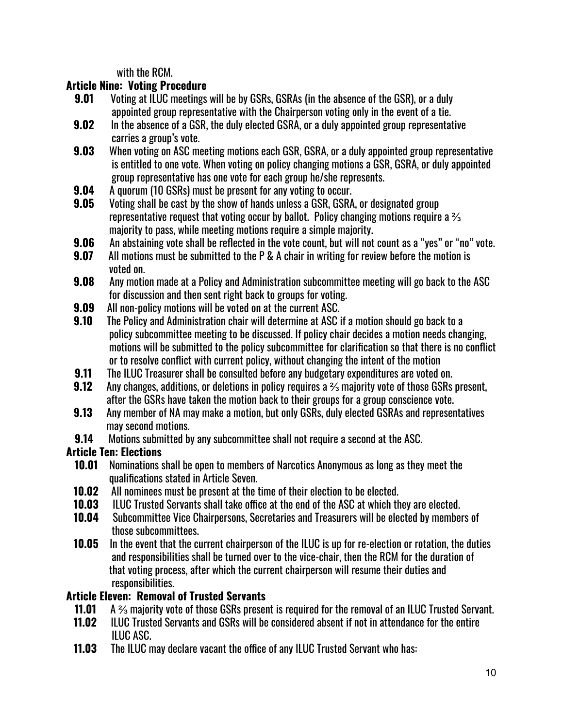with the RCM.

### **Article Nine: Voting Procedure**

- **9.01** Voting at ILUC meetings will be by GSRs, GSRAs (in the absence of the GSR), or a duly appointed group representative with the Chairperson voting only in the event of a tie.
- **9.02** In the absence of a GSR, the duly elected GSRA, or a duly appointed group representative carries a group's vote.
- **9.03** When voting on ASC meeting motions each GSR, GSRA, or a duly appointed group representative is entitled to one vote. When voting on policy changing motions a GSR, GSRA, or duly appointed group representative has one vote for each group he/she represents.
- **9.04** A quorum (10 GSRs) must be present for any voting to occur.
- **9.05** Voting shall be cast by the show of hands unless a GSR, GSRA, or designated group representative request that voting occur by ballot. Policy changing motions require a  $\frac{2}{3}$ majority to pass, while meeting motions require a simple majority.
- **9.06** An abstaining vote shall be reflected in the vote count, but will not count as a "yes" or "no" vote.
- **9.07** All motions must be submitted to the P & A chair in writing for review before the motion is voted on.
- **9.08** Any motion made at a Policy and Administration subcommittee meeting will go back to the ASC for discussion and then sent right back to groups for voting.
- **9.09** All non-policy motions will be voted on at the current ASC.
- **9.10** The Policy and Administration chair will determine at ASC if a motion should go back to a policy subcommittee meeting to be discussed. If policy chair decides a motion needs changing, motions will be submitted to the policy subcommittee for clarification so that there is no conflict or to resolve conflict with current policy, without changing the intent of the motion
- **9.11** The ILUC Treasurer shall be consulted before any budgetary expenditures are voted on.
- **9.12** Any changes, additions, or deletions in policy requires a <sup>2</sup>∕<sub>3</sub> majority vote of those GSRs present, after the GSRs have taken the motion back to their groups for a group conscience vote.
- **9.13** Any member of NA may make a motion, but only GSRs, duly elected GSRAs and representatives may second motions.
- **9.14** Motions submitted by any subcommittee shall not require a second at the ASC.

### **Article Ten: Elections**

- **10.01** Nominations shall be open to members of Narcotics Anonymous as long as they meet the qualifications stated in Article Seven.
- **10.02** All nominees must be present at the time of their election to be elected.
- **10.03** ILUC Trusted Servants shall take office at the end of the ASC at which they are elected.
- **10.04** Subcommittee Vice Chairpersons, Secretaries and Treasurers will be elected by members of those subcommittees.
- **10.05** In the event that the current chairperson of the ILUC is up for re-election or rotation, the duties and responsibilities shall be turned over to the vice-chair, then the RCM for the duration of that voting process, after which the current chairperson will resume their duties and responsibilities.

### **Article Eleven: Removal of Trusted Servants**

- **11.01** A ⅔ majority vote of those GSRs present is required for the removal of an ILUC Trusted Servant.
- **11.02** ILUC Trusted Servants and GSRs will be considered absent if not in attendance for the entire ILUC ASC.
- **11.03** The ILUC may declare vacant the office of any ILUC Trusted Servant who has: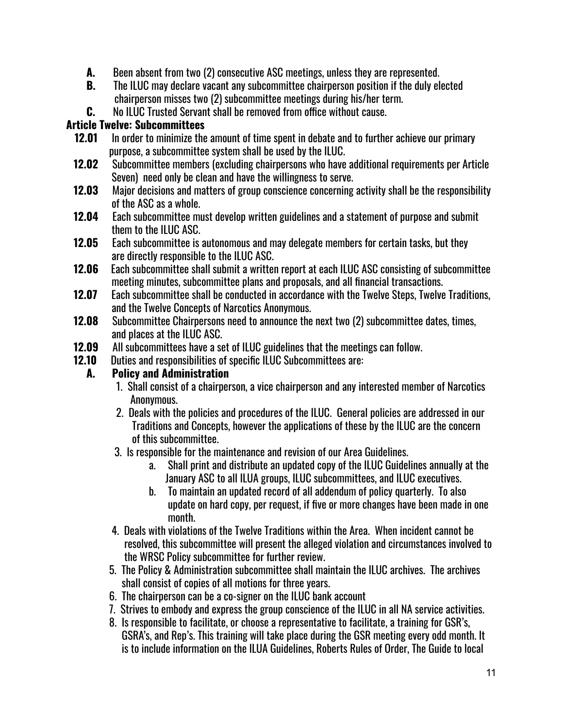- **A.** Been absent from two (2) consecutive ASC meetings, unless they are represented.
- **B.** The ILUC may declare vacant any subcommittee chairperson position if the duly elected chairperson misses two (2) subcommittee meetings during his/her term.
- **C.** No ILUC Trusted Servant shall be removed from office without cause.

### **Article Twelve: Subcommittees**

- **12.01** In order to minimize the amount of time spent in debate and to further achieve our primary purpose, a subcommittee system shall be used by the ILUC.
- **12.02** Subcommittee members (excluding chairpersons who have additional requirements per Article Seven) need only be clean and have the willingness to serve.
- **12.03** Major decisions and matters of group conscience concerning activity shall be the responsibility of the ASC as a whole.
- **12.04** Each subcommittee must develop written guidelines and a statement of purpose and submit them to the ILUC ASC.
- **12.05** Each subcommittee is autonomous and may delegate members for certain tasks, but they are directly responsible to the ILUC ASC.
- **12.06** Each subcommittee shall submit a written report at each ILUC ASC consisting of subcommittee meeting minutes, subcommittee plans and proposals, and all financial transactions.
- **12.07** Each subcommittee shall be conducted in accordance with the Twelve Steps, Twelve Traditions, and the Twelve Concepts of Narcotics Anonymous.
- **12.08** Subcommittee Chairpersons need to announce the next two (2) subcommittee dates, times, and places at the ILUC ASC.
- **12.09** All subcommittees have a set of ILUC guidelines that the meetings can follow.
- **12.10** Duties and responsibilities of specific ILUC Subcommittees are:

### **A. Policy and Administration**

- 1. Shall consist of a chairperson, a vice chairperson and any interested member of Narcotics Anonymous.
- 2. Deals with the policies and procedures of the ILUC. General policies are addressed in our Traditions and Concepts, however the applications of these by the ILUC are the concern of this subcommittee.
- 3. Is responsible for the maintenance and revision of our Area Guidelines.
	- a. Shall print and distribute an updated copy of the ILUC Guidelines annually at the January ASC to all ILUA groups, ILUC subcommittees, and ILUC executives.
	- b. To maintain an updated record of all addendum of policy quarterly. To also update on hard copy, per request, if five or more changes have been made in one month.
- 4. Deals with violations of the Twelve Traditions within the Area. When incident cannot be resolved, this subcommittee will present the alleged violation and circumstances involved to the WRSC Policy subcommittee for further review.
- 5. The Policy & Administration subcommittee shall maintain the ILUC archives. The archives shall consist of copies of all motions for three years.
- 6. The chairperson can be a co-signer on the ILUC bank account
- 7. Strives to embody and express the group conscience of the ILUC in all NA service activities.
- 8. Is responsible to facilitate, or choose a representative to facilitate, a training for GSR's, GSRA's, and Rep's. This training will take place during the GSR meeting every odd month. It is to include information on the ILUA Guidelines, Roberts Rules of Order, The Guide to local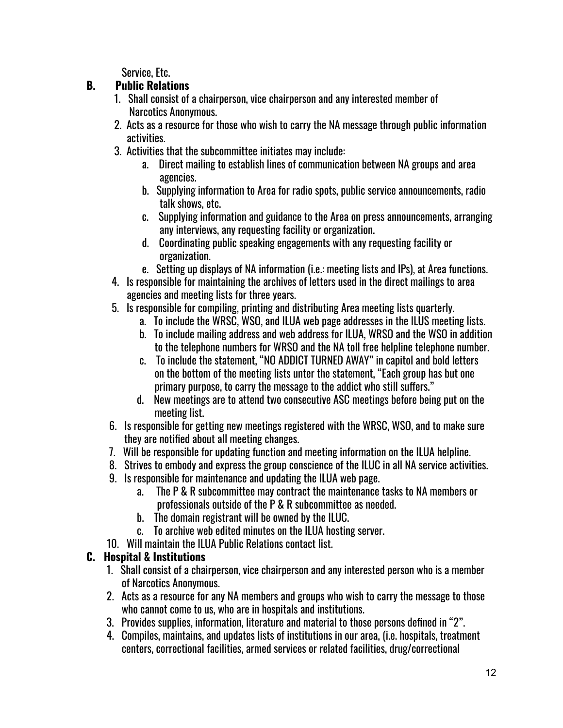Service, Etc.

### **B. Public Relations**

- 1. Shall consist of a chairperson, vice chairperson and any interested member of Narcotics Anonymous.
- 2. Acts as a resource for those who wish to carry the NA message through public information activities.
- 3. Activities that the subcommittee initiates may include:
	- a. Direct mailing to establish lines of communication between NA groups and area agencies.
	- b. Supplying information to Area for radio spots, public service announcements, radio talk shows, etc.
	- c. Supplying information and guidance to the Area on press announcements, arranging any interviews, any requesting facility or organization.
	- d. Coordinating public speaking engagements with any requesting facility or organization.
	- e. Setting up displays of NA information (i.e.: meeting lists and IPs), at Area functions.
- 4. Is responsible for maintaining the archives of letters used in the direct mailings to area agencies and meeting lists for three years.
- 5. Is responsible for compiling, printing and distributing Area meeting lists quarterly.
	- a. To include the WRSC, WSO, and ILUA web page addresses in the ILUS meeting lists.
	- b. To include mailing address and web address for ILUA, WRSO and the WSO in addition to the telephone numbers for WRSO and the NA toll free helpline telephone number.
	- c. To include the statement, "NO ADDICT TURNED AWAY" in capitol and bold letters on the bottom of the meeting lists unter the statement, "Each group has but one primary purpose, to carry the message to the addict who still suffers."
	- d. New meetings are to attend two consecutive ASC meetings before being put on the meeting list.
- 6. Is responsible for getting new meetings registered with the WRSC, WSO, and to make sure they are notified about all meeting changes.
- 7. Will be responsible for updating function and meeting information on the ILUA helpline.
- 8. Strives to embody and express the group conscience of the ILUC in all NA service activities.
- 9. Is responsible for maintenance and updating the ILUA web page.
	- a. The P & R subcommittee may contract the maintenance tasks to NA members or professionals outside of the P & R subcommittee as needed.
	- b. The domain registrant will be owned by the ILUC.
	- c. To archive web edited minutes on the ILUA hosting server.
- 10. Will maintain the ILUA Public Relations contact list.

## **C. Hospital & Institutions**

- 1. Shall consist of a chairperson, vice chairperson and any interested person who is a member of Narcotics Anonymous.
- 2. Acts as a resource for any NA members and groups who wish to carry the message to those who cannot come to us, who are in hospitals and institutions.
- 3. Provides supplies, information, literature and material to those persons defined in "2".
- 4. Compiles, maintains, and updates lists of institutions in our area, (i.e. hospitals, treatment centers, correctional facilities, armed services or related facilities, drug/correctional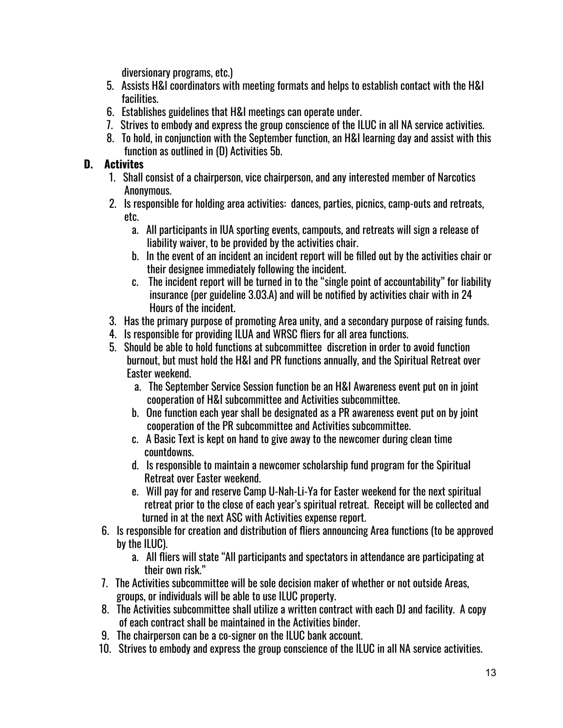diversionary programs, etc.)

- 5. Assists H&I coordinators with meeting formats and helps to establish contact with the H&I facilities.
- 6. Establishes guidelines that H&I meetings can operate under.
- 7. Strives to embody and express the group conscience of the ILUC in all NA service activities.
- 8. To hold, in conjunction with the September function, an H&I learning day and assist with this function as outlined in (D) Activities 5b.

### **D. Activites**

- 1. Shall consist of a chairperson, vice chairperson, and any interested member of Narcotics Anonymous.
- 2. Is responsible for holding area activities: dances, parties, picnics, camp-outs and retreats, etc.
	- a. All participants in IUA sporting events, campouts, and retreats will sign a release of liability waiver, to be provided by the activities chair.
	- b. In the event of an incident an incident report will be filled out by the activities chair or their designee immediately following the incident.
	- c. The incident report will be turned in to the "single point of accountability" for liability insurance (per guideline 3.03.A) and will be notified by activities chair with in 24 Hours of the incident.
- 3. Has the primary purpose of promoting Area unity, and a secondary purpose of raising funds.
- 4. Is responsible for providing ILUA and WRSC fliers for all area functions.
- 5. Should be able to hold functions at subcommittee discretion in order to avoid function burnout, but must hold the H&I and PR functions annually, and the Spiritual Retreat over Easter weekend.
	- a. The September Service Session function be an H&I Awareness event put on in joint cooperation of H&I subcommittee and Activities subcommittee.
	- b. One function each year shall be designated as a PR awareness event put on by joint cooperation of the PR subcommittee and Activities subcommittee.
	- c. A Basic Text is kept on hand to give away to the newcomer during clean time countdowns.
	- d. Is responsible to maintain a newcomer scholarship fund program for the Spiritual Retreat over Easter weekend.
	- e. Will pay for and reserve Camp U-Nah-Li-Ya for Easter weekend for the next spiritual retreat prior to the close of each year's spiritual retreat. Receipt will be collected and turned in at the next ASC with Activities expense report.
- 6. Is responsible for creation and distribution of fliers announcing Area functions (to be approved by the ILUC).
	- a. All fliers will state "All participants and spectators in attendance are participating at their own risk."
- 7. The Activities subcommittee will be sole decision maker of whether or not outside Areas, groups, or individuals will be able to use ILUC property.
- 8. The Activities subcommittee shall utilize a written contract with each DJ and facility. A copy of each contract shall be maintained in the Activities binder.
- 9. The chairperson can be a co-signer on the ILUC bank account.
- 10. Strives to embody and express the group conscience of the ILUC in all NA service activities.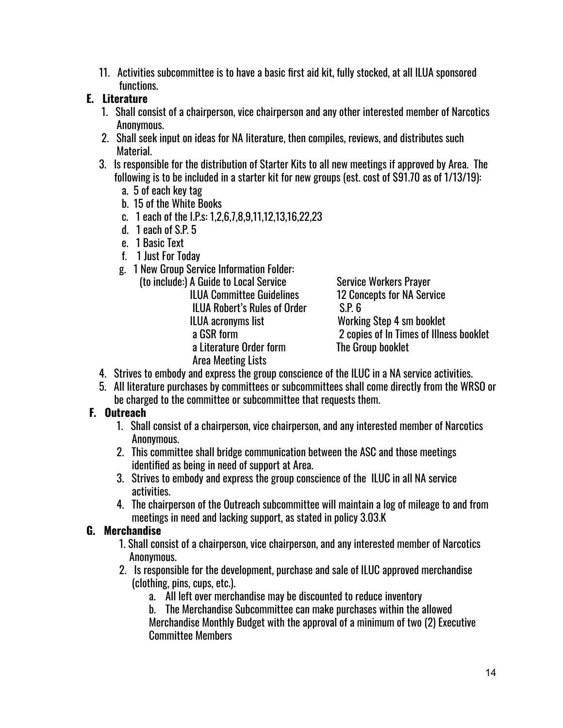11. Activities subcommittee is to have a basic first aid kit, fully stocked, at all ILUA sponsored functions.

### **E. Literature**

- 1. Shall consist of a chairperson, vice chairperson and any other interested member of Narcotics Anonymous.
- 2. Shall seek input on ideas for NA literature, then compiles, reviews, and distributes such Material.
- 3. Is responsible for the distribution of Starter Kits to all new meetings if approved by Area. The following is to be included in a starter kit for new groups (est. cost of \$91.70 as of 1/13/19):
	- a. 5 of each key tag
	- b. 15 of the White Books
	- c. 1 each of the I.P.s: 1,2,6,7,8,9,11,12,13,16,22,23
	- d. 1 each of S.P. 5
	- e. 1 Basic Text
	- f. 1 Just For Today
	- g. 1 New Group Service Information Folder:

| A Guide to Local Service           |
|------------------------------------|
| <b>ILUA Committee Guidelines</b>   |
| <b>ILUA Robert's Rules of Orde</b> |
| ILUA acronyms list                 |
| a GSR form                         |
| a Literature Order form            |
| Area Meeting Lists                 |
|                                    |

Service Workers Praver 12 Concepts for NA Service  $\text{S.P. 6}$ Working Step 4 sm booklet 2 copies of In Times of Illness booklet The Group booklet

- 4. Strives to embody and express the group conscience of the ILUC in a NA service activities.
- 5. All literature purchases by committees or subcommittees shall come directly from the WRSO or be charged to the committee or subcommittee that requests them.

## **F. Outreach**

- 1. Shall consist of a chairperson, vice chairperson, and any interested member of Narcotics Anonymous.
- 2. This committee shall bridge communication between the ASC and those meetings identified as being in need of support at Area.
- 3. Strives to embody and express the group conscience of the ILUC in all NA service activities.
- 4. The chairperson of the Outreach subcommittee will maintain a log of mileage to and from meetings in need and lacking support, as stated in policy 3.03.K

### **G. Merchandise**

- 1. Shall consist of a chairperson, vice chairperson, and any interested member of Narcotics Anonymous.
- 2. Is responsible for the development, purchase and sale of ILUC approved merchandise (clothing, pins, cups, etc.).
	- a. All left over merchandise may be discounted to reduce inventory
	- b. The Merchandise Subcommittee can make purchases within the allowed Merchandise Monthly Budget with the approval of a minimum of two (2) Executive Committee Members